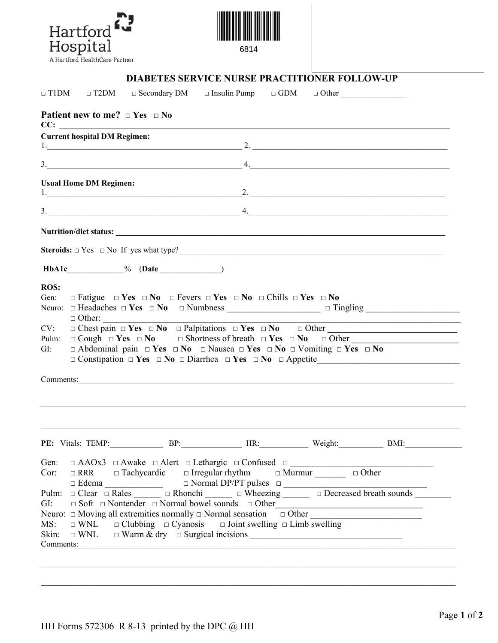



6814

|                      |                                                                                                                    |  |                                                                                                                             |  | <b>DIABETES SERVICE NURSE PRACTITIONER FOLLOW-UP</b> |  |  |
|----------------------|--------------------------------------------------------------------------------------------------------------------|--|-----------------------------------------------------------------------------------------------------------------------------|--|------------------------------------------------------|--|--|
| $\Box$ T1DM          | $\Box$ T2DM                                                                                                        |  | $\Box$ Secondary DM $\Box$ Insulin Pump $\Box$ GDM $\Box$ Other                                                             |  |                                                      |  |  |
|                      | Patient new to me? $\Box$ Yes $\Box$ No                                                                            |  |                                                                                                                             |  |                                                      |  |  |
|                      | $\text{CC:}$ $\qquad \qquad$                                                                                       |  |                                                                                                                             |  |                                                      |  |  |
|                      | <b>Current hospital DM Regimen:</b>                                                                                |  |                                                                                                                             |  |                                                      |  |  |
|                      |                                                                                                                    |  |                                                                                                                             |  |                                                      |  |  |
|                      | 3.                                                                                                                 |  |                                                                                                                             |  |                                                      |  |  |
|                      | <b>Usual Home DM Regimen:</b>                                                                                      |  |                                                                                                                             |  |                                                      |  |  |
|                      |                                                                                                                    |  |                                                                                                                             |  |                                                      |  |  |
|                      |                                                                                                                    |  |                                                                                                                             |  |                                                      |  |  |
|                      | $3.$ $4.$                                                                                                          |  |                                                                                                                             |  |                                                      |  |  |
|                      |                                                                                                                    |  |                                                                                                                             |  |                                                      |  |  |
|                      | Steroids: $\Box$ Yes $\Box$ No If yes what type?                                                                   |  |                                                                                                                             |  |                                                      |  |  |
|                      | $HbA1c$ (Date $\qquad \qquad$ (Date $\qquad \qquad$ )                                                              |  |                                                                                                                             |  |                                                      |  |  |
|                      |                                                                                                                    |  |                                                                                                                             |  |                                                      |  |  |
| <b>ROS:</b>          |                                                                                                                    |  |                                                                                                                             |  |                                                      |  |  |
| Gen:                 | $\Box$ Fatigue $\Box$ Yes $\Box$ No $\Box$ Fevers $\Box$ Yes $\Box$ No $\Box$ Chills $\Box$ Yes $\Box$ No          |  |                                                                                                                             |  |                                                      |  |  |
|                      |                                                                                                                    |  |                                                                                                                             |  |                                                      |  |  |
|                      |                                                                                                                    |  |                                                                                                                             |  |                                                      |  |  |
|                      |                                                                                                                    |  |                                                                                                                             |  |                                                      |  |  |
|                      |                                                                                                                    |  | $\Box$ Other: $\Box$<br>$\Box$ Chest pain $\Box$ Yes $\Box$ No $\Box$ Palpitations $\Box$ Yes $\Box$ No $\Box$ Other $\Box$ |  |                                                      |  |  |
|                      | $\Box$ Cough $\Box$ Yes $\Box$ No $\Box$ Shortness of breath $\Box$ Yes $\Box$ No $\Box$ Other                     |  |                                                                                                                             |  |                                                      |  |  |
| CV:<br>Pulm:<br>GI:  | $\Box$ Abdominal pain $\Box$ Yes $\Box$ No $\Box$ Nausea $\Box$ Yes $\Box$ No $\Box$ Vomiting $\Box$ Yes $\Box$ No |  |                                                                                                                             |  |                                                      |  |  |
|                      | $\Box$ Constipation $\Box$ Yes $\Box$ No $\Box$ Diarrhea $\Box$ Yes $\Box$ No $\Box$ Appetite                      |  |                                                                                                                             |  |                                                      |  |  |
|                      |                                                                                                                    |  |                                                                                                                             |  |                                                      |  |  |
|                      | Comments:                                                                                                          |  |                                                                                                                             |  |                                                      |  |  |
|                      |                                                                                                                    |  |                                                                                                                             |  |                                                      |  |  |
|                      |                                                                                                                    |  |                                                                                                                             |  |                                                      |  |  |
|                      |                                                                                                                    |  |                                                                                                                             |  |                                                      |  |  |
|                      | PE: Vitals: TEMP: BP: BP: HR: Weight: Weight: BMI:                                                                 |  |                                                                                                                             |  |                                                      |  |  |
|                      |                                                                                                                    |  |                                                                                                                             |  |                                                      |  |  |
| Gen:                 | $\Box$ AAOx3 $\Box$ Awake $\Box$ Alert $\Box$ Lethargic $\Box$ Confused $\Box$                                     |  |                                                                                                                             |  |                                                      |  |  |
|                      | $\Box$ RRR $\Box$ Tachycardic $\Box$ Irregular rhythm $\Box$ Murmur $\Box$ $\Box$ Other                            |  |                                                                                                                             |  |                                                      |  |  |
|                      |                                                                                                                    |  |                                                                                                                             |  |                                                      |  |  |
|                      | $\Box$ Clear $\Box$ Rales $\Box$ Rhonchi $\Box$ $\Box$ Wheezing $\Box$ $\Box$ Decreased breath sounds $\Box$       |  |                                                                                                                             |  |                                                      |  |  |
| Cor:<br>Pulm:<br>GI: | $\Box \text{ Soft } \Box \text{ Nontender } \Box \text{ Normal bowl sounds } \Box \text{ Other} \_\_\_\_\_\_ \$    |  |                                                                                                                             |  |                                                      |  |  |
| MS:                  | Neuro: $\Box$ Moving all extremities normally $\Box$ Normal sensation $\Box$ Other                                 |  |                                                                                                                             |  |                                                      |  |  |
| Skin:                | $\Box$ WNL $\Box$ Clubbing $\Box$ Cyanosis $\Box$ Joint swelling $\Box$ Limb swelling                              |  |                                                                                                                             |  |                                                      |  |  |